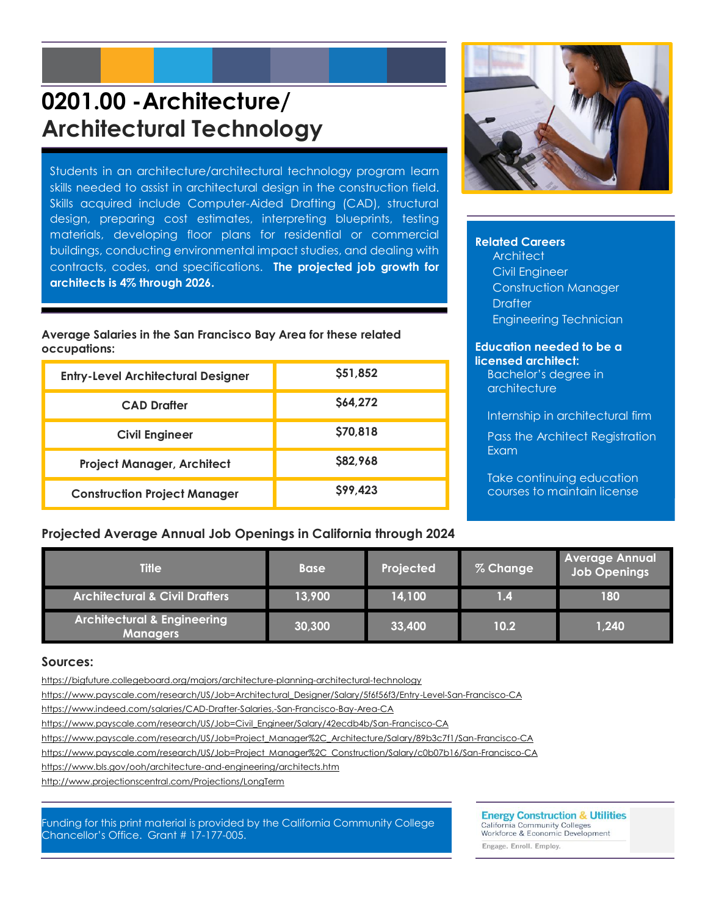# **0201.00 -Architecture/ Architectural Technology**

Students in an architecture/architectural technology program learn skills needed to assist in architectural design in the construction field. Skills acquired include Computer-Aided Drafting (CAD), structural design, preparing cost estimates, interpreting blueprints, testing materials, developing floor plans for residential or commercial buildings, conducting environmental impact studies, and dealing with contracts, codes, and specifications. **The projected job growth for architects is 4% through 2026.**

#### **Average Salaries in the San Francisco Bay Area for these related occupations:**

| <b>Entry-Level Architectural Designer</b> | \$51,852 |
|-------------------------------------------|----------|
| <b>CAD Drafter</b>                        | S64.272  |
| <b>Civil Engineer</b>                     | \$70,818 |
| <b>Project Manager, Architect</b>         | \$82,968 |
| <b>Construction Project Manager</b>       | \$99,423 |

#### **Related Careers**

**Architect** Civil Engineer Construction Manager **Drafter** Engineering Technician

#### **Education needed to be a licensed architect:**

Bachelor's degree in architecture

Internship in architectural firm

Pass the Architect Registration Exam

Take continuing education courses to maintain license

### **Projected Average Annual Job Openings in California through 2024**

| <b>Title</b>                                              | <b>Base</b> | Projected | % Change       | <b>Average Annual</b><br>Job Openings |
|-----------------------------------------------------------|-------------|-----------|----------------|---------------------------------------|
| <b>Architectural &amp; Civil Drafters</b>                 | 13,900      | 14,100    | $\mathbf{1.4}$ | 180                                   |
| <b>Architectural &amp; Engineering</b><br><b>Managers</b> | 30,300      | 33,400    | 10.2           | 1,240                                 |

#### **Sources:**

<https://bigfuture.collegeboard.org/majors/architecture-planning-architectural-technology>

[https://www.payscale.com/research/US/Job=Architectural\\_Designer/Salary/5f6f56f3/Entry-Level-San-Francisco-CA](https://www.payscale.com/research/US/Job=Architectural_Designer/Salary/5f6f56f3/Entry-Level-San-Francisco-CA)

<https://www.indeed.com/salaries/CAD-Drafter-Salaries,-San-Francisco-Bay-Area-CA>

[https://www.payscale.com/research/US/Job=Civil\\_Engineer/Salary/42ecdb4b/San-Francisco-CA](https://www.payscale.com/research/US/Job=Civil_Engineer/Salary/42ecdb4b/San-Francisco-CA)

[https://www.payscale.com/research/US/Job=Project\\_Manager%2C\\_Architecture/Salary/89b3c7f1/San-Francisco-CA](https://www.payscale.com/research/US/Job=Project_Manager%2C_Architecture/Salary/89b3c7f1/San-Francisco-CA)

[https://www.payscale.com/research/US/Job=Project\\_Manager%2C\\_Construction/Salary/c0b07b16/San-Francisco-CA](https://www.payscale.com/research/US/Job=Project_Manager%2C_Construction/Salary/c0b07b16/San-Francisco-CA)

<https://www.bls.gov/ooh/architecture-and-engineering/architects.htm>

<http://www.projectionscentral.com/Projections/LongTerm>

Funding for this print material is provided by the California Community College Chancellor's Office. Grant # 17-177-005.

**Energy Construction & Utilities** 

California Community Colleges<br>Workforce & Economic Development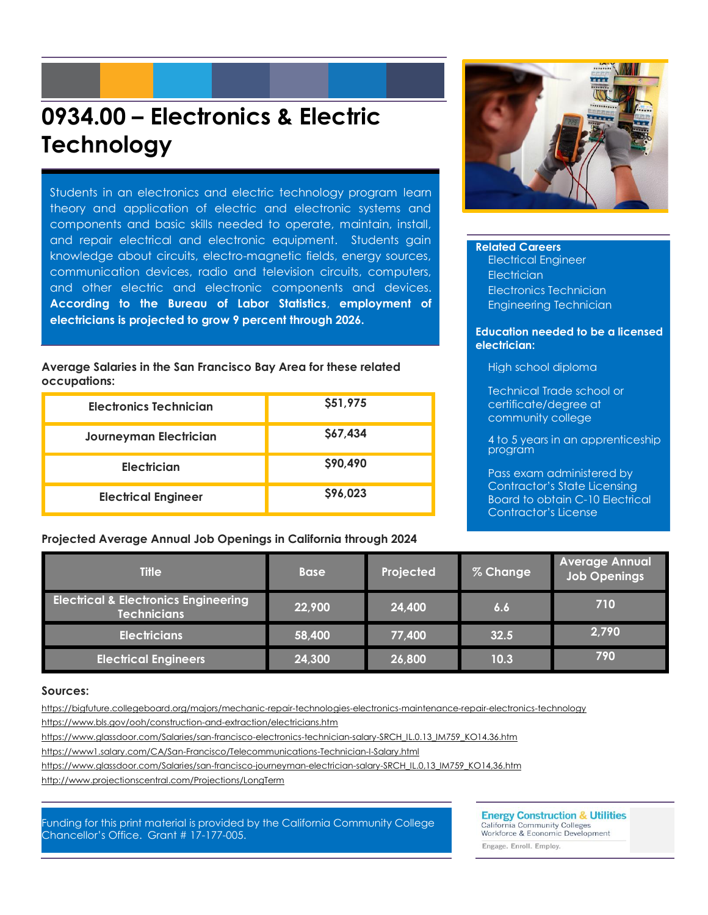# **0934.00 – Electronics & Electric Technology**

Students in an electronics and electric technology program learn theory and application of electric and electronic systems and components and basic skills needed to operate, maintain, install, and repair electrical and electronic equipment. Students gain knowledge about circuits, electro-magnetic fields, energy sources, communication devices, radio and television circuits, computers, and other electric and electronic components and devices. **According to the Bureau of Labor Statistics**, **employment of electricians is projected to grow 9 percent through 2026.**

**Average Salaries in the San Francisco Bay Area for these related occupations:**

| Electronics Technician     | \$51,975 |
|----------------------------|----------|
| Journeyman Electrician     | \$67,434 |
| Electrician                | \$90,490 |
| <b>Electrical Engineer</b> | \$96,023 |

**Projected Average Annual Job Openings in California through 2024**



#### **Related Careers**

Electrical Engineer **Electrician** Electronics Technician Engineering Technician

#### **Education needed to be a licensed electrician:**

High school diploma

Technical Trade school or certificate/degree at community college

4 to 5 years in an apprenticeship program

Pass exam administered by Contractor's State Licensing Board to obtain C-10 Electrical Contractor's License

| <b>Title</b>                                                          | <b>Base</b> | Projected | % Change | <b>Average Annual</b><br><b>Job Openings</b> |
|-----------------------------------------------------------------------|-------------|-----------|----------|----------------------------------------------|
| <b>Electrical &amp; Electronics Engineering</b><br><b>Technicians</b> | 22,900      | 24,400    | 6.6      | 710                                          |
| <b>Electricians</b>                                                   | 58,400      | 77,400    | 32.5     | 2,790                                        |
| <b>Electrical Engineers</b>                                           | 24,300      | 26,800    | 10.3     | 790                                          |

#### **Sources:**

https://bigfuture.collegeboard.org/majors/mechanic-repair-technologies-electronics-maintenance-repair-electronics-technology

<https://www.bls.gov/ooh/construction-and-extraction/electricians.htm>

[https://www.glassdoor.com/Salaries/san-francisco-electronics-technician-salary-SRCH\\_IL.0.13\\_IM759\\_KO14.36.htm](https://www.glassdoor.com/Salaries/san-francisco-electronics-technician-salary-SRCH_IL.0.13_IM759_KO14.36.htm)

https://www1.salary.com/CA/San-Francisco/Telecommunications-Technician-I-Salary.html

[https://www.glassdoor.com/Salaries/san-francisco-journeyman-electrician-salary-SRCH\\_IL.0,13\\_IM759\\_KO14,36.htm](https://www.glassdoor.com/Salaries/san-francisco-journeyman-electrician-salary-SRCH_IL.0,13_IM759_KO14,36.htm)

http://www.projectionscentral.com/Projections/LongTerm

Funding for this print material is provided by the California Community College Chancellor's Office. Grant # 17-177-005.

**Energy Construction & Utilities** California Community Colleges<br>Workforce & Economic Development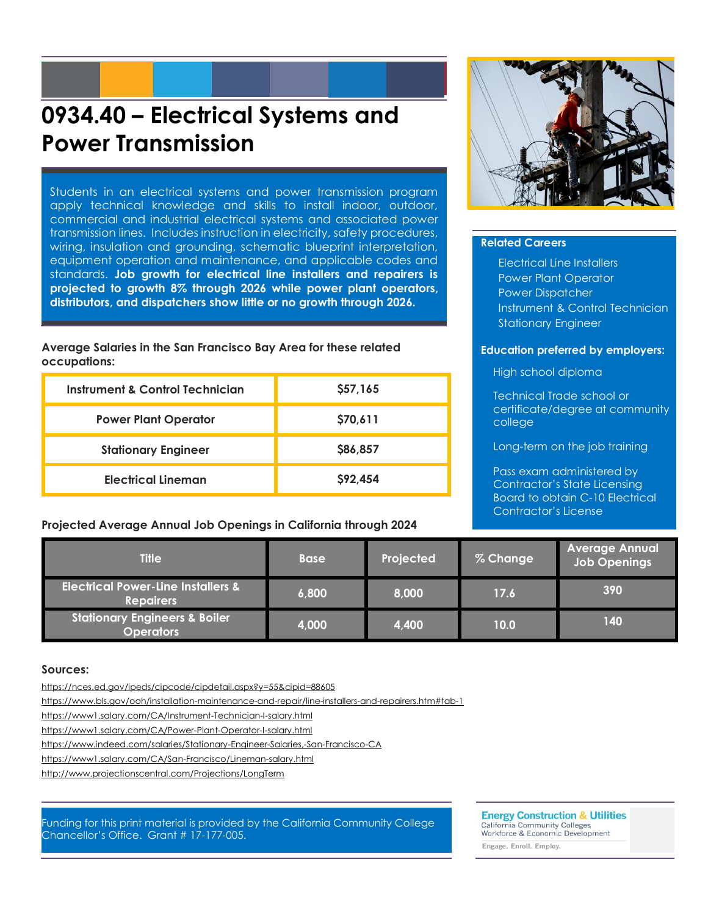## **0934.40 – Electrical Systems and Power Transmission**

Students in an electrical systems and power transmission program apply technical knowledge and skills to install indoor, outdoor, commercial and industrial electrical systems and associated power transmission lines. Includes instruction in electricity, safety procedures, wiring, insulation and grounding, schematic blueprint interpretation, equipment operation and maintenance, and applicable codes and standards. **Job growth for electrical line installers and repairers is projected to growth 8% through 2026 while power plant operators, distributors, and dispatchers show little or no growth through 2026.**

**Average Salaries in the San Francisco Bay Area for these related occupations:**

| Instrument & Control Technician | \$57,165 |
|---------------------------------|----------|
| <b>Power Plant Operator</b>     | \$70,611 |
| <b>Stationary Engineer</b>      | \$86,857 |
| <b>Electrical Lineman</b>       | \$92,454 |

**Projected Average Annual Job Openings in California through 2024**



#### **Related Careers**

Electrical Line Installers Power Plant Operator Power Dispatcher Instrument & Control Technician Stationary Engineer

#### **Education preferred by employers:**

High school diploma

Technical Trade school or certificate/degree at community college

Long-term on the job training

Pass exam administered by Contractor's State Licensing Board to obtain C-10 Electrical Contractor's License

| <b>Title</b>                                                      | <b>Base</b> | Projected | % Change | <b>Average Annual</b><br><b>Job Openings</b> |
|-------------------------------------------------------------------|-------------|-----------|----------|----------------------------------------------|
| <b>Electrical Power-Line Installers &amp;</b><br><b>Repairers</b> | 6,800       | 8,000     | 17.6     | 390                                          |
| <b>Stationary Engineers &amp; Boiler</b><br><b>Operators</b>      | 4,000       | 4,400     | 10.0     | 140                                          |

#### **Sources:**

https://nces.ed.gov/ipeds/cipcode/cipdetail.aspx?y=55&cipid=88605

<https://www.bls.gov/ooh/installation-maintenance-and-repair/line-installers-and-repairers.htm#tab-1>

<https://www1.salary.com/CA/Instrument-Technician-I-salary.html>

https://www1.salary.com/CA/Power-Plant-Operator-I-salary.html

https://www.indeed.com/salaries/Stationary-Engineer-Salaries,-San-Francisco-CA

https://www1.salary.com/CA/San-Francisco/Lineman-salary.html

http://www.projectionscentral.com/Projections/LongTerm

Funding for this print material is provided by the California Community College Chancellor's Office. Grant # 17-177-005.

**Energy Construction & Utilities** 

California Community Colleges<br>Workforce & Economic Development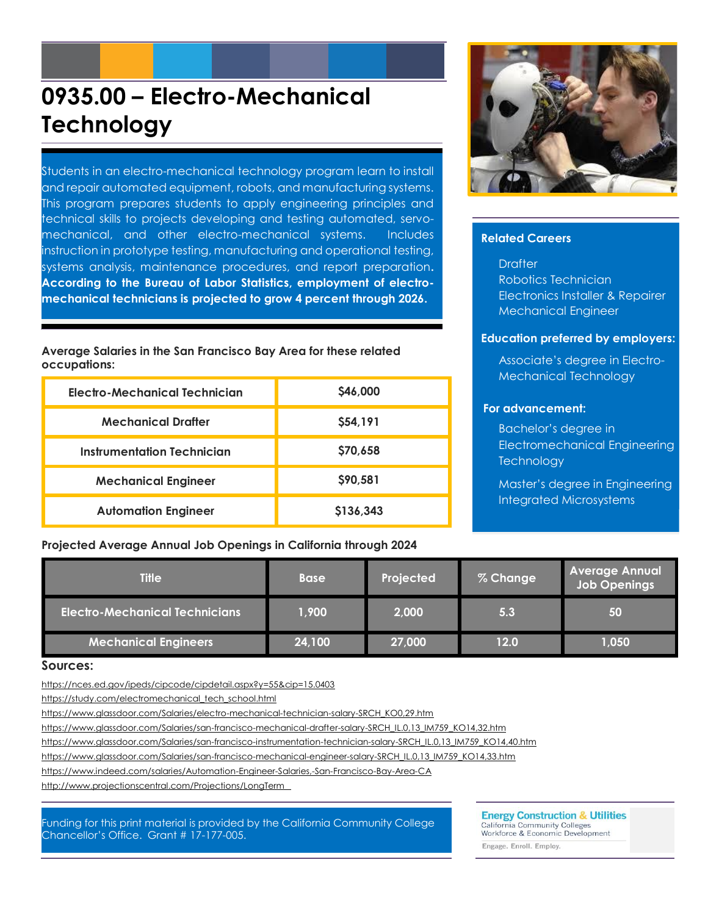# **0935.00 – Electro-Mechanical Technology**

Students in an electro-mechanical technology program learn to install and repair automated equipment, robots, and manufacturing systems. This program prepares students to apply engineering principles and technical skills to projects developing and testing automated, servomechanical, and other electro-mechanical systems. Includes instruction in prototype testing, manufacturing and operational testing, systems analysis, maintenance procedures, and report preparation**. According to the Bureau of Labor Statistics, employment of electromechanical technicians is projected to grow 4 percent through 2026.**

**Average Salaries in the San Francisco Bay Area for these related occupations:**

| Electro-Mechanical Technician | \$46,000  |
|-------------------------------|-----------|
| <b>Mechanical Drafter</b>     | \$54,191  |
| Instrumentation Technician    | \$70,658  |
| <b>Mechanical Engineer</b>    | \$90,581  |
| <b>Automation Engineer</b>    | \$136,343 |

#### **Projected Average Annual Job Openings in California through 2024**



#### **Related Careers**

**Drafter** Robotics Technician Electronics Installer & Repairer Mechanical Engineer

#### **Education preferred by employers:**

Associate's degree in Electro-Mechanical Technology

#### **For advancement:**

Bachelor's degree in Electromechanical Engineering **Technology** 

Master's degree in Engineering Integrated Microsystems

| <b>Title</b>                          | <b>Base</b> | Projected | % Change | <b>Average Annual</b><br><b>Job Openings</b> |
|---------------------------------------|-------------|-----------|----------|----------------------------------------------|
| <b>Electro-Mechanical Technicians</b> | 1,900       | 2,000     | 5.3      | 50                                           |
| <b>Mechanical Engineers</b>           | 24,100      | 27,000    | 12.0     | 1,050                                        |

#### **Sources:**

<https://nces.ed.gov/ipeds/cipcode/cipdetail.aspx?y=55&cip=15.0403>

[https://study.com/electromechanical\\_tech\\_school.html](https://study.com/electromechanical_tech_school.html)

https://www.glassdoor.com/Salaries/electro-mechanical-technician-salary-SRCH\_KO0,29.htm

[https://www.glassdoor.com/Salaries/san-francisco-mechanical-drafter-salary-SRCH\\_IL.0,13\\_IM759\\_KO14,32.htm](https://www.glassdoor.com/Salaries/san-francisco-mechanical-drafter-salary-SRCH_IL.0,13_IM759_KO14,32.htm)

https://www.glassdoor.com/Salaries/san-francisco-instrumentation-technician-salary-SRCH\_IL.0,13\_IM759\_KO14,40.htm

[https://www.glassdoor.com/Salaries/san-francisco-mechanical-engineer-salary-SRCH\\_IL.0,13\\_IM759\\_KO14,33.htm](https://www.glassdoor.com/Salaries/san-francisco-mechanical-engineer-salary-SRCH_IL.0,13_IM759_KO14,33.htm)

https://www.indeed.com/salaries/Automation-Engineer-Salaries,-San-Francisco-Bay-Area-CA

<http://www.projectionscentral.com/Projections/LongTerm>

Funding for this print material is provided by the California Community College Chancellor's Office. Grant # 17-177-005.

#### **Energy Construction & Utilities**

California Community Colleges<br>Workforce & Economic Development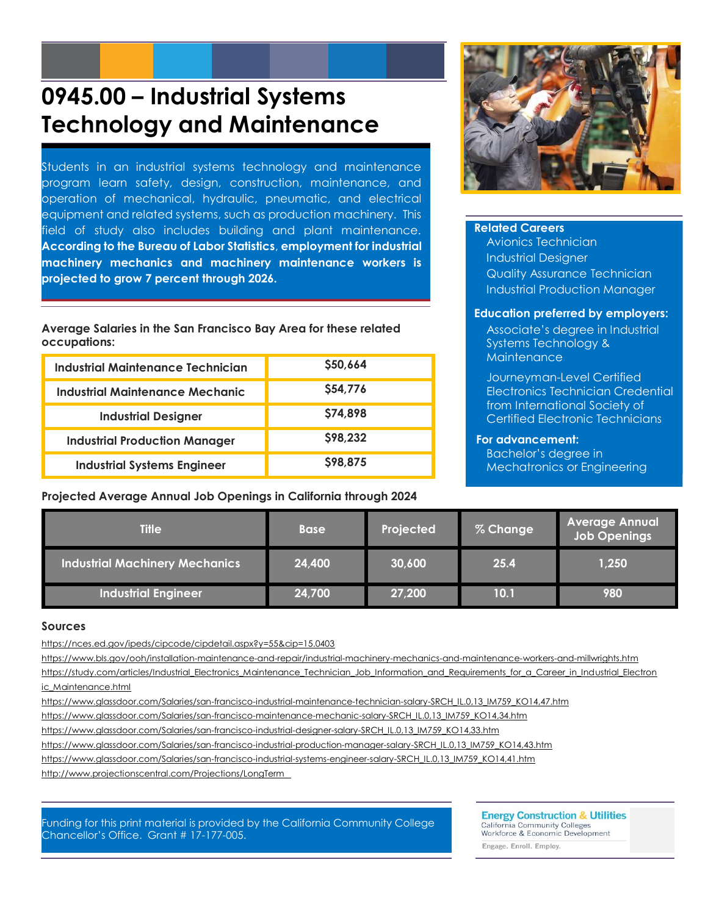## **0945.00 – Industrial Systems Technology and Maintenance**

Students in an industrial systems technology and maintenance program learn safety, design, construction, maintenance, and operation of mechanical, hydraulic, pneumatic, and electrical equipment and related systems, such as production machinery. This field of study also includes building and plant maintenance. **According to the Bureau of Labor Statistics**, **employment for industrial machinery mechanics and machinery maintenance workers is projected to grow 7 percent through 2026.**

**Average Salaries in the San Francisco Bay Area for these related occupations:**

| <b>Industrial Maintenance Technician</b> | \$50,664 |
|------------------------------------------|----------|
| Industrial Maintenance Mechanic          | \$54,776 |
| <b>Industrial Designer</b>               | \$74,898 |
| <b>Industrial Production Manager</b>     | \$98,232 |
| <b>Industrial Systems Engineer</b>       | \$98,875 |

**Projected Average Annual Job Openings in California through 2024**



#### **Related Careers**

Avionics Technician Industrial Designer Quality Assurance Technician Industrial Production Manager

#### **Education preferred by employers:**

Associate's degree in Industrial Systems Technology & **Maintenance** 

Journeyman-Level Certified Electronics Technician Credential from International Society of Certified Electronic Technicians

#### **For advancement:**

Bachelor's degree in Mechatronics or Engineering

| <b>Title</b>                          | <b>Base</b> | Projected | % Change | <b>Average Annual</b><br><b>Job Openings</b> |
|---------------------------------------|-------------|-----------|----------|----------------------------------------------|
| <b>Industrial Machinery Mechanics</b> | 24,400      | 30,600    | 25.4     | 1,250                                        |
| <b>Industrial Engineer</b>            | 24,700      | 27,200    | 10.1     | 980                                          |

#### **Sources**

<https://nces.ed.gov/ipeds/cipcode/cipdetail.aspx?y=55&cip=15.0403>

https://www.bls.gov/ooh/installation-maintenance-and-repair/industrial-machinery-mechanics-and-maintenance-workers-and-millwrights.htm

https://study.com/articles/Industrial Electronics Maintenance Technician Job Information and Requirements for a Career in Industrial Electron [ic\\_Maintenance.html](https://study.com/articles/Industrial_Electronics_Maintenance_Technician_Job_Information_and_Requirements_for_a_Career_in_Industrial_Electronic_Maintenance.html)

https://www.glassdoor.com/Salaries/san-francisco-industrial-maintenance-technician-salary-SRCH\_IL.0,13\_IM759\_KO14,47.htm

[https://www.glassdoor.com/Salaries/san-francisco-maintenance-mechanic-salary-SRCH\\_IL.0,13\\_IM759\\_KO14,34.htm](https://www.glassdoor.com/Salaries/san-francisco-maintenance-mechanic-salary-SRCH_IL.0,13_IM759_KO14,34.htm)

https://www.glassdoor.com/Salaries/san-francisco-industrial-designer-salary-SRCH\_IL.0,13\_IM759\_KO14,33.htm

[https://www.glassdoor.com/Salaries/san-francisco-industrial-production-manager-salary-SRCH\\_IL.0,13\\_IM759\\_KO14,43.htm](https://www.glassdoor.com/Salaries/san-francisco-industrial-production-manager-salary-SRCH_IL.0,13_IM759_KO14,43.htm)

https://www.glassdoor.com/Salaries/san-francisco-industrial-systems-engineer-salary-SRCH\_IL.0,13\_IM759\_KO14,41.htm

<http://www.projectionscentral.com/Projections/LongTerm>

Funding for this print material is provided by the California Community College Chancellor's Office. Grant # 17-177-005.

**Energy Construction & Utilities** California Community Colleges<br>Workforce & Economic Development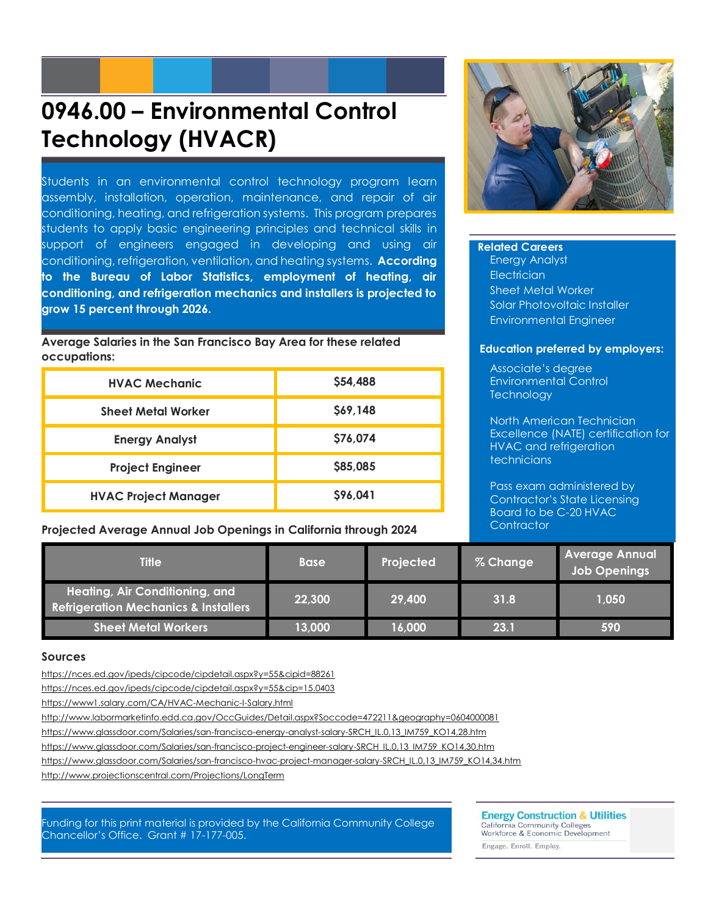# **0946.00 – Environmental Control Technology (HVACR)**

Students in an environmental control technology program learn assembly, installation, operation, maintenance, and repair of air conditioning, heating, and refrigeration systems. This program prepares students to apply basic engineering principles and technical skills in support of engineers engaged in developing and using air conditioning, refrigeration, ventilation, and heating systems. **According to the Bureau of Labor Statistics, employment of heating, air conditioning, and refrigeration mechanics and installers is projected to grow 15 percent through 2026.**

**Average Salaries in the San Francisco Bay Area for these related occupations:**

| <b>HVAC Mechanic</b>        | \$54,488 |
|-----------------------------|----------|
| <b>Sheet Metal Worker</b>   | \$69,148 |
| <b>Energy Analyst</b>       | \$76,074 |
| <b>Project Engineer</b>     | \$85,085 |
| <b>HVAC Project Manager</b> | \$96,041 |

**Projected Average Annual Job Openings in California through 2024**



#### **Related Careers**

Energy Analyst **Electrician** Sheet Metal Worker Solar Photovoltaic Installer Environmental Engineer

#### **Education preferred by employers:**

Associate's degree Environmental Control **Technology** 

North American Technician Excellence (NATE) certification for HVAC and refrigeration technicians

Pass exam administered by Contractor's State Licensing Board to be C-20 HVAC **Contractor** 

| <b>Title</b>                                                                      | <b>Base</b> | Projected | % Change | Average Annual<br><b>Job Openings</b> |
|-----------------------------------------------------------------------------------|-------------|-----------|----------|---------------------------------------|
| Heating, Air Conditioning, and<br><b>Refrigeration Mechanics &amp; Installers</b> | 22,300      | 29,400    | 31.8     | 1,050                                 |
| Sheet Metal Workers                                                               | 13,000      | 16,000    | 23.1     | 590                                   |

#### **Sources**

https://nces.ed.gov/ipeds/cipcode/cipdetail.aspx?y=55&cipid=88261

<https://nces.ed.gov/ipeds/cipcode/cipdetail.aspx?y=55&cip=15.0403>

<https://www1.salary.com/CA/HVAC-Mechanic-I-Salary.html>

http://www.labormarketinfo.edd.ca.gov/OccGuides/Detail.aspx?Soccode=472211&geography=0604000081

[https://www.glassdoor.com/Salaries/san-francisco-energy-analyst-salary-SRCH\\_IL.0,13\\_IM759\\_KO14,28.htm](https://www.glassdoor.com/Salaries/san-francisco-energy-analyst-salary-SRCH_IL.0,13_IM759_KO14,28.htm)

https://www.glassdoor.com/Salaries/san-francisco-project-engineer-salary-SRCH\_IL.0,13\_IM759\_KO14,30.htm

https://www.glassdoor.com/Salaries/san-francisco-hvac-project-manager-salary-SRCH\_IL.0,13\_IM759\_KO14,34.htm

<http://www.projectionscentral.com/Projections/LongTerm>

Funding for this print material is provided by the California Community College Chancellor's Office. Grant # 17-177-005.

**Energy Construction & Utilities** 

California Community Colleges<br>Workforce & Economic Development Engage. Enroll. Employ.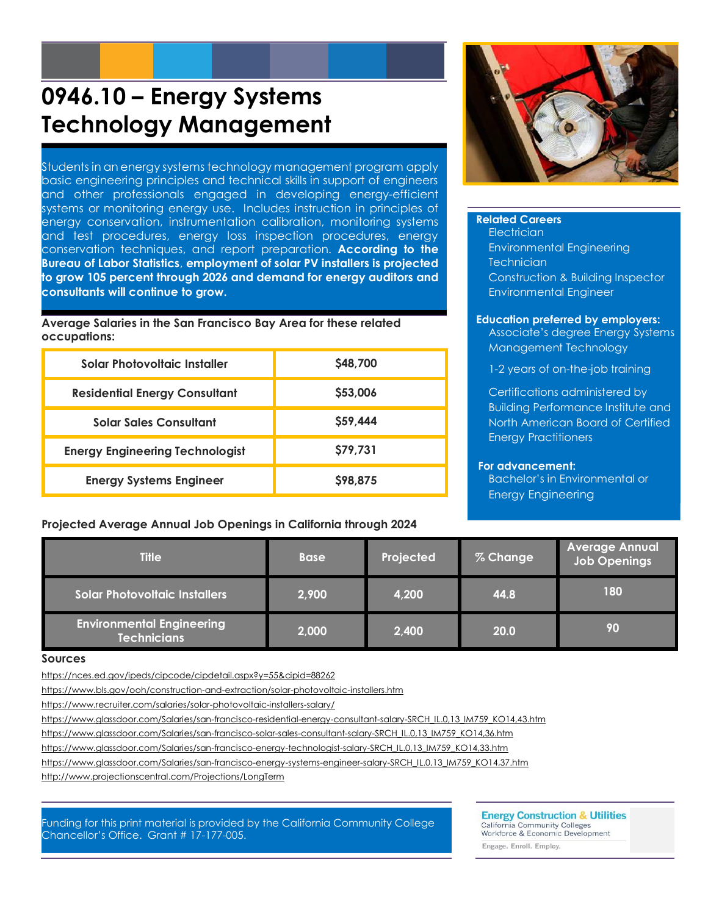# **0946.10 – Energy Systems Technology Management**

Students in an energy systems technology management program apply basic engineering principles and technical skills in support of engineers and other professionals engaged in developing energy-efficient systems or monitoring energy use. Includes instruction in principles of energy conservation, instrumentation calibration, monitoring systems and test procedures, energy loss inspection procedures, energy conservation techniques, and report preparation. **According to the Bureau of Labor Statistics**, **employment of solar PV installers is projected to grow 105 percent through 2026 and demand for energy auditors and consultants will continue to grow.**

**Average Salaries in the San Francisco Bay Area for these related occupations:**

| Solar Photovoltaic Installer           | <b>S48,700</b> |
|----------------------------------------|----------------|
| <b>Residential Energy Consultant</b>   | \$53,006       |
| <b>Solar Sales Consultant</b>          | \$59,444       |
| <b>Energy Engineering Technologist</b> | \$79,731       |
| <b>Energy Systems Engineer</b>         | \$98,875       |

#### **Projected Average Annual Job Openings in California through 2024**



#### **Related Careers Electrician** Environmental Engineering

**Technician** Construction & Building Inspector Environmental Engineer

#### **Education preferred by employers:**

Associate's degree Energy Systems Management Technology

1-2 years of on-the-job training

Certifications administered by Building Performance Institute and North American Board of Certified Energy Practitioners

#### **For advancement:**

Bachelor's in Environmental or Energy Engineering

| <b>Title</b>                                           | <b>Base</b> | Projected | % Change | <b>Average Annual</b><br><b>Job Openings</b> |
|--------------------------------------------------------|-------------|-----------|----------|----------------------------------------------|
| <b>Solar Photovoltaic Installers</b>                   | 2,900       | 4,200     | 44.8     | 180                                          |
| <b>Environmental Engineering</b><br><b>Technicians</b> | 2,000       | 2,400     | 20.0     | 90                                           |

#### **Sources**

<https://nces.ed.gov/ipeds/cipcode/cipdetail.aspx?y=55&cipid=88262>

https://www.bls.gov/ooh/construction-and-extraction/solar-photovoltaic-installers.htm

https://www.recruiter.com/salaries/solar-photovoltaic-installers-salary/

[https://www.glassdoor.com/Salaries/san-francisco-residential-energy-consultant-salary-SRCH\\_IL.0,13\\_IM759\\_KO14,43.htm](https://www.glassdoor.com/Salaries/san-francisco-residential-energy-consultant-salary-SRCH_IL.0,13_IM759_KO14,43.htm)

https://www.glassdoor.com/Salaries/san-francisco-solar-sales-consultant-salary-SRCH\_IL.0,13\_IM759\_KO14,36.htm

[https://www.glassdoor.com/Salaries/san-francisco-energy-technologist-salary-SRCH\\_IL.0,13\\_IM759\\_KO14,33.htm](https://www.glassdoor.com/Salaries/san-francisco-energy-technologist-salary-SRCH_IL.0,13_IM759_KO14,33.htm)

https://www.glassdoor.com/Salaries/san-francisco-energy-systems-engineer-salary-SRCH\_IL.0,13\_IM759\_KO14,37.htm

<http://www.projectionscentral.com/Projections/LongTerm>

Funding for this print material is provided by the California Community College Chancellor's Office. Grant # 17-177-005.

**Energy Construction & Utilities** 

California Community Colleges<br>Workforce & Economic Development Engage. Enroll. Employ.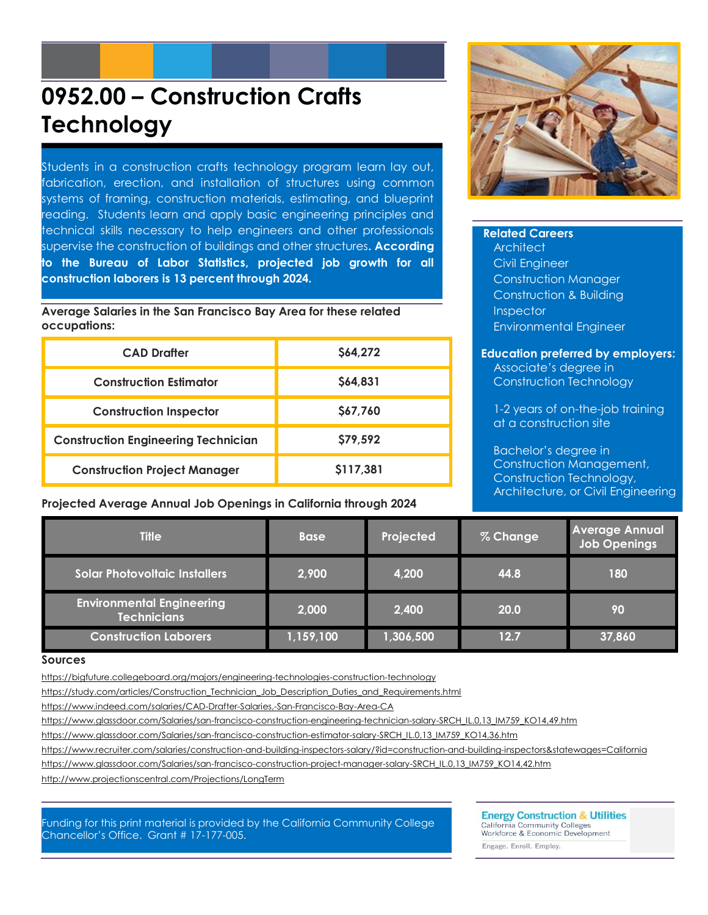# **0952.00 – Construction Crafts Technology**

Students in a construction crafts technology program learn lay out, fabrication, erection, and installation of structures using common systems of framing, construction materials, estimating, and blueprint reading. Students learn and apply basic engineering principles and technical skills necessary to help engineers and other professionals supervise the construction of buildings and other structures**. According to the Bureau of Labor Statistics, projected job growth for all construction laborers is 13 percent through 2024.**

**Average Salaries in the San Francisco Bay Area for these related occupations:**

| <b>CAD Drafter</b>                         | \$64,272  |
|--------------------------------------------|-----------|
| <b>Construction Estimator</b>              | \$64,831  |
| <b>Construction Inspector</b>              | \$67,760  |
| <b>Construction Engineering Technician</b> | \$79,592  |
| <b>Construction Project Manager</b>        | \$117,381 |

**Projected Average Annual Job Openings in California through 2024**



### **Related Careers**

**Architect** Civil Engineer Construction Manager Construction & Building **Inspector** Environmental Engineer

#### **Education preferred by employers:**

Associate's degree in Construction Technology

1-2 years of on-the-job training at a construction site

Bachelor's degree in Construction Management, Construction Technology, Architecture, or Civil Engineering

| <b>Title</b>                                           | <b>Base</b> | Projected | % Change | <b>Average Annual</b><br><b>Job Openings</b> |
|--------------------------------------------------------|-------------|-----------|----------|----------------------------------------------|
| <b>Solar Photovoltaic Installers</b>                   | 2,900       | 4,200     | 44.8     | 180                                          |
| <b>Environmental Engineering</b><br><b>Technicians</b> | 2,000       | 2,400     | 20.0     | 90                                           |
| <b>Construction Laborers</b>                           | 1,159,100   | 1,306,500 | 12.7     | 37,860                                       |

#### **Sources**

https://bigfuture.collegeboard.org/majors/engineering-technologies-construction-technology

[https://study.com/articles/Construction\\_Technician\\_Job\\_Description\\_Duties\\_and\\_Requirements.html](https://study.com/articles/Construction_Technician_Job_Description_Duties_and_Requirements.html)

<https://www.indeed.com/salaries/CAD-Drafter-Salaries,-San-Francisco-Bay-Area-CA>

https://www.glassdoor.com/Salaries/san-francisco-construction-engineering-technician-salary-SRCH\_IL.0,13\_IM759\_KO14,49.htm

[https://www.glassdoor.com/Salaries/san-francisco-construction-estimator-salary-SRCH\\_IL.0,13\\_IM759\\_KO14,36.htm](https://www.glassdoor.com/Salaries/san-francisco-construction-estimator-salary-SRCH_IL.0,13_IM759_KO14,36.htm)

https://www.recruiter.com/salaries/construction-and-building-inspectors-salary/?id=construction-and-building-inspectors&statewages=California

https://www.glassdoor.com/Salaries/san-francisco-construction-project-manager-salary-SRCH\_IL.0,13\_IM759\_KO14,42.htm

<http://www.projectionscentral.com/Projections/LongTerm>

Funding for this print material is provided by the California Community College Chancellor's Office. Grant # 17-177-005.

**Energy Construction & Utilities** California Community Colleges<br>Workforce & Economic Development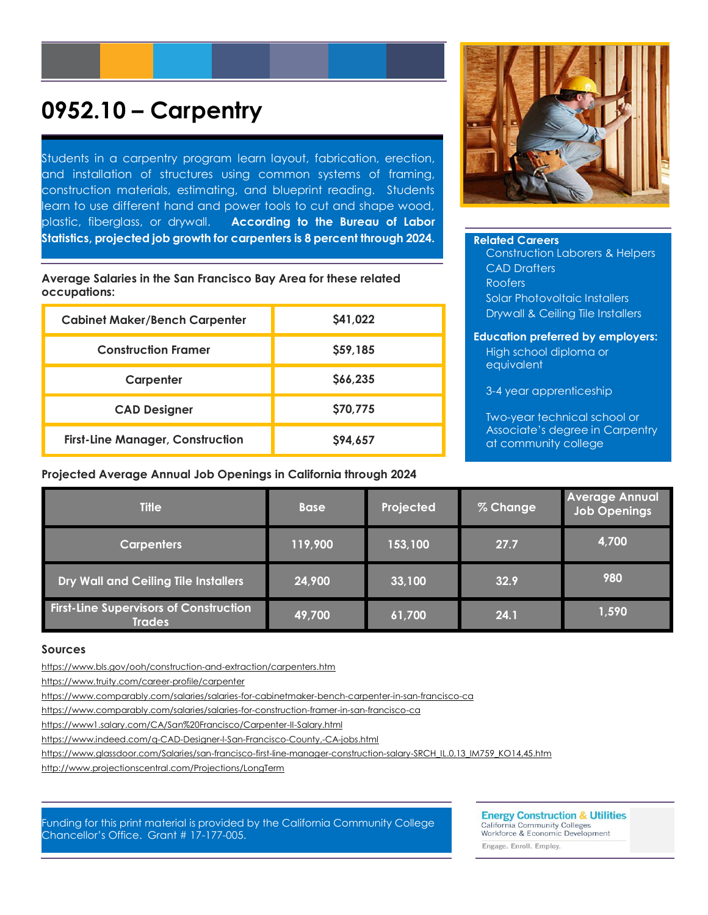## **0952.10 – Carpentry**

Students in a carpentry program learn layout, fabrication, erection, and installation of structures using common systems of framing, construction materials, estimating, and blueprint reading. Students learn to use different hand and power tools to cut and shape wood, plastic, fiberglass, or drywall. **According to the Bureau of Labor Statistics, projected job growth for carpenters is 8 percent through 2024.**

**Average Salaries in the San Francisco Bay Area for these related occupations:**

| <b>Cabinet Maker/Bench Carpenter</b>    | \$41,022 |
|-----------------------------------------|----------|
| <b>Construction Framer</b>              | \$59,185 |
| Carpenter                               | \$66,235 |
| <b>CAD Designer</b>                     | \$70,775 |
| <b>First-Line Manager, Construction</b> | S94.657  |

**Projected Average Annual Job Openings in California through 2024**



#### **Related Careers**

Construction Laborers & Helpers CAD Drafters Roofers Solar Photovoltaic Installers Drywall & Ceiling Tile Installers

#### **Education preferred by employers:** High school diploma or equivalent

3-4 year apprenticeship

Two-year technical school or Associate's degree in Carpentry at community college

| <b>Title</b>                                                   | <b>Base</b> | Projected | % Change | <b>Average Annual</b><br>Job Openings |
|----------------------------------------------------------------|-------------|-----------|----------|---------------------------------------|
| <b>Carpenters</b>                                              | 119,900     | 153,100   | 27.7     | 4,700                                 |
| Dry Wall and Ceiling Tile Installers                           | 24,900      | 33,100    | 32.9     | 980                                   |
| <b>First-Line Supervisors of Construction</b><br><b>Trades</b> | 49,700      | 61,700    | 24.1     | 1,590                                 |

#### **Sources**

<https://www.bls.gov/ooh/construction-and-extraction/carpenters.htm>

https://www.truity.com/career-profile/carpenter

<https://www.comparably.com/salaries/salaries-for-cabinetmaker-bench-carpenter-in-san-francisco-ca>

https://www.comparably.com/salaries/salaries-for-construction-framer-in-san-francisco-ca

https://www1.salary.com/CA/San%20Francisco/Carpenter-II-Salary.html

https://www.indeed.com/q-CAD-Designer-l-San-Francisco-County,-CA-jobs.html

https://www.glassdoor.com/Salaries/san-francisco-first-line-manager-construction-salary-SRCH\_IL.0,13\_IM759\_KO14,45.htm

<http://www.projectionscentral.com/Projections/LongTerm>

#### Funding for this print material is provided by the California Community College Chancellor's Office. Grant # 17-177-005.

**Energy Construction & Utilities** 

California Community Colleges<br>Workforce & Economic Development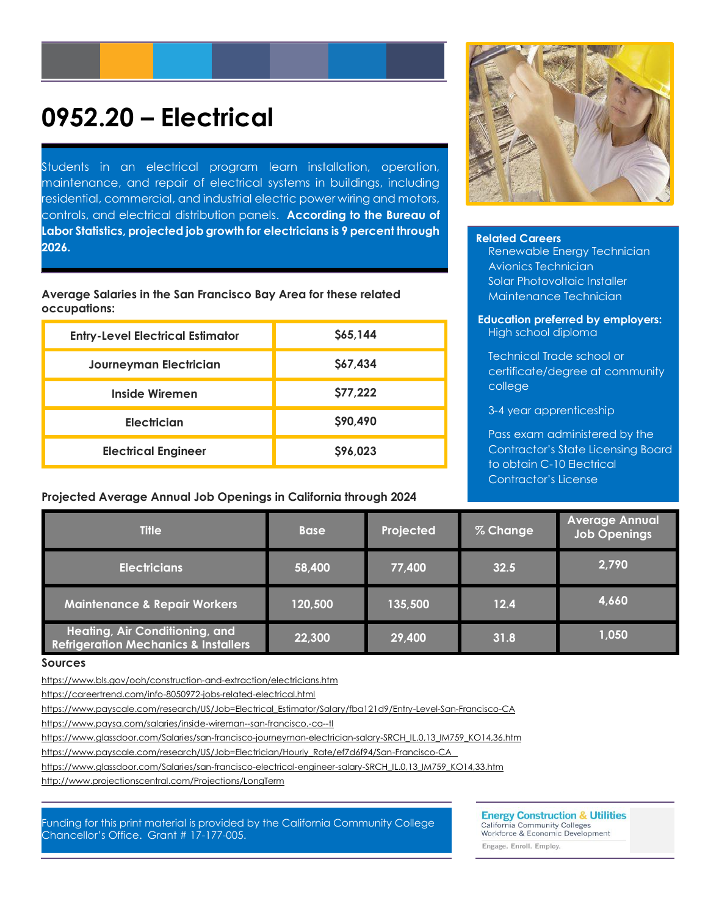# **0952.20 – Electrical**

Students in an electrical program learn installation, operation, maintenance, and repair of electrical systems in buildings, including residential, commercial, and industrial electric power wiring and motors, controls, and electrical distribution panels. **According to the Bureau of Labor Statistics, projected job growth for electricians is 9 percent through 2026.**

**Average Salaries in the San Francisco Bay Area for these related occupations:**

| <b>Entry-Level Electrical Estimator</b> | \$65,144 |
|-----------------------------------------|----------|
| Journeyman Electrician                  | \$67,434 |
| Inside Wiremen                          | \$77,222 |
| Electrician                             | \$90,490 |
| <b>Electrical Engineer</b>              | \$96,023 |

#### **Projected Average Annual Job Openings in California through 2024**



#### **Related Careers**

Renewable Energy Technician Avionics Technician Solar Photovoltaic Installer Maintenance Technician

**Education preferred by employers:** High school diploma

Technical Trade school or certificate/degree at community college

3-4 year apprenticeship

Pass exam administered by the Contractor's State Licensing Board to obtain C-10 Electrical Contractor's License

| <b>Title</b>                                                                      | <b>Base</b> | Projected | % Change | <b>Average Annual</b><br><b>Job Openings</b> |
|-----------------------------------------------------------------------------------|-------------|-----------|----------|----------------------------------------------|
| <b>Electricians</b>                                                               | 58,400      | 77,400    | 32.5     | 2,790                                        |
| <b>Maintenance &amp; Repair Workers</b>                                           | 120,500     | 135,500   | 12.4     | 4,660                                        |
| Heating, Air Conditioning, and<br><b>Refrigeration Mechanics &amp; Installers</b> | 22,300      | 29,400    | 31.8     | 1,050                                        |

#### **Sources**

https://www.bls.gov/ooh/construction-and-extraction/electricians.htm

https://careertrend.com/info-8050972-jobs-related-electrical.html

[https://www.payscale.com/research/US/Job=Electrical\\_Estimator/Salary/fba121d9/Entry-Level-San-Francisco-CA](https://www.payscale.com/research/US/Job=Electrical_Estimator/Salary/fba121d9/Entry-Level-San-Francisco-CA)

<https://www.paysa.com/salaries/inside-wireman--san-francisco,-ca--tl>

https://www.glassdoor.com/Salaries/san-francisco-journeyman-electrician-salary-SRCH\_IL.0,13\_IM759\_KO14,36.htm

https://www.payscale.com/research/US/Job=Electrician/Hourly\_Rate/ef7d6f94/San-Francisco-CA

[https://www.glassdoor.com/Salaries/san-francisco-electrical-engineer-salary-SRCH\\_IL.0,13\\_IM759\\_KO14,33.htm](https://www.glassdoor.com/Salaries/san-francisco-electrical-engineer-salary-SRCH_IL.0,13_IM759_KO14,33.htm)

<http://www.projectionscentral.com/Projections/LongTerm>

Funding for this print material is provided by the California Community College Chancellor's Office. Grant # 17-177-005.

**Energy Construction & Utilities** California Community Colleges<br>Workforce & Economic Development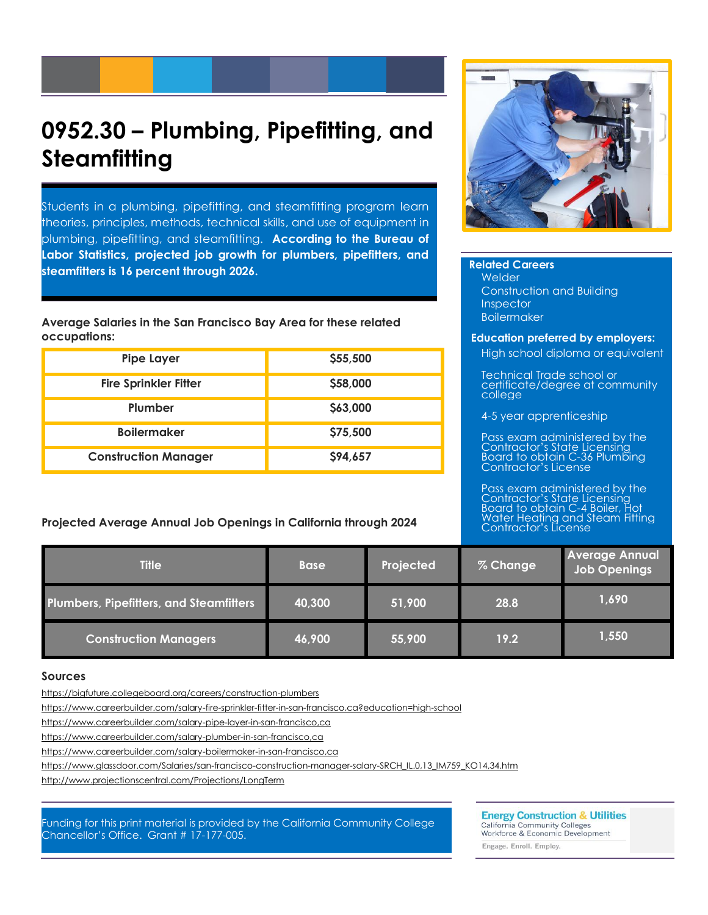## **0952.30 – Plumbing, Pipefitting, and Steamfitting**

Students in a plumbing, pipefitting, and steamfitting program learn theories, principles, methods, technical skills, and use of equipment in plumbing, pipefitting, and steamfitting. **According to the Bureau of Labor Statistics, projected job growth for plumbers, pipefitters, and steamfitters is 16 percent through 2026.**

**Average Salaries in the San Francisco Bay Area for these related occupations:**

| <b>Pipe Layer</b>            | \$55,500 |
|------------------------------|----------|
| <b>Fire Sprinkler Fitter</b> | \$58,000 |
| Plumber                      | \$63,000 |
| <b>Boilermaker</b>           | \$75,500 |
| <b>Construction Manager</b>  | \$94,657 |

**Projected Average Annual Job Openings in California through 2024**



**Related Careers** Welder Construction and Building Inspector Boilermaker

#### **Education preferred by employers:**

High school diploma or equivalent

Technical Trade school or certificate/degree at community college

4-5 year apprenticeship

Pass exam administered by the Contractor's State Licensing Board to obtain C-36 Plumbing Contractor's License

Pass exam administered by the Contractor's State Licensing Board to obtain C-4 Boiler, Hot Water Heating and Steam Fitting Contractor's License

| <b>Title</b>                                   | <b>Base</b> | Projected | % Change | <b>Average Annual</b><br>Job Openings |
|------------------------------------------------|-------------|-----------|----------|---------------------------------------|
| <b>Plumbers, Pipefitters, and Steamfitters</b> | 40,300      | 51,900    | 28.8     | 1,690                                 |
| <b>Construction Managers</b>                   | 46,900      | 55,900    | 19.2     | 1,550                                 |

#### **Sources**

https://bigfuture.collegeboard.org/careers/construction-plumbers

<https://www.careerbuilder.com/salary-fire-sprinkler-fitter-in-san-francisco,ca?education=high-school>

<https://www.careerbuilder.com/salary-pipe-layer-in-san-francisco,ca>

<https://www.careerbuilder.com/salary-plumber-in-san-francisco,ca>

<https://www.careerbuilder.com/salary-boilermaker-in-san-francisco,ca>

https://www.glassdoor.com/Salaries/san-francisco-construction-manager-salary-SRCH\_IL.0,13\_IM759\_KO14,34.htm

<http://www.projectionscentral.com/Projections/LongTerm>

Funding for this print material is provided by the California Community College Chancellor's Office. Grant # 17-177-005.

**Energy Construction & Utilities California Community Colleges** 

Workforce & Economic Development Engage. Enroll. Employ.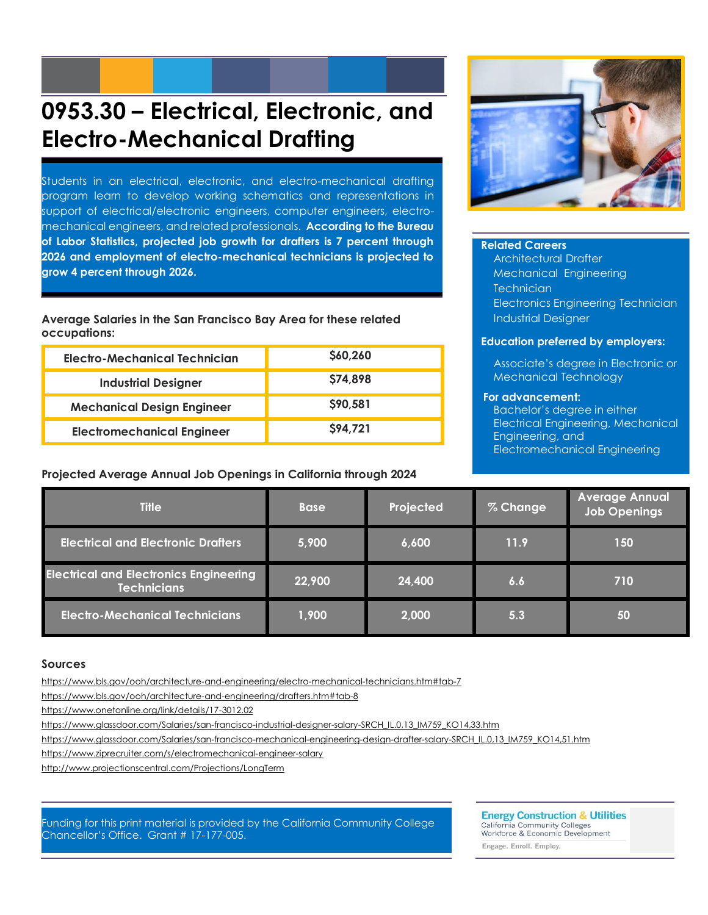# **0953.30 – Electrical, Electronic, and Electro-Mechanical Drafting**

Students in an electrical, electronic, and electro-mechanical drafting program learn to develop working schematics and representations in support of electrical/electronic engineers, computer engineers, electromechanical engineers, and related professionals. **According to the Bureau of Labor Statistics, projected job growth for drafters is 7 percent through 2026 and employment of electro-mechanical technicians is projected to grow 4 percent through 2026.**

**Average Salaries in the San Francisco Bay Area for these related occupations:**

| Electro-Mechanical Technician     | \$60,260 |
|-----------------------------------|----------|
| <b>Industrial Designer</b>        | \$74,898 |
| <b>Mechanical Design Engineer</b> | \$90,581 |
| <b>Electromechanical Engineer</b> | \$94,721 |

#### **Projected Average Annual Job Openings in California through 2024**



#### **Related Careers**

Architectural Drafter Mechanical Engineering **Technician** Electronics Engineering Technician Industrial Designer

#### **Education preferred by employers:**

Associate's degree in Electronic or Mechanical Technology

#### **For advancement:**

Bachelor's degree in either Electrical Engineering, Mechanical Engineering, and Electromechanical Engineering

| <b>Title</b>                                                        | <b>Base</b> | Projected | % Change | <b>Average Annual</b><br><b>Job Openings</b> |
|---------------------------------------------------------------------|-------------|-----------|----------|----------------------------------------------|
| <b>Electrical and Electronic Drafters</b>                           | 5,900       | 6,600     | 11.9     | 150                                          |
| <b>Electrical and Electronics Engineering</b><br><b>Technicians</b> | 22,900      | 24,400    | 6.6      | 710                                          |
| <b>Electro-Mechanical Technicians</b>                               | 1,900       | 2,000     | 5.3      | 50                                           |

#### **Sources**

https://www.bls.gov/ooh/architecture-and-engineering/electro-mechanical-technicians.htm#tab-7

https://www.bls.gov/ooh/architecture-and-engineering/drafters.htm#tab-8

<https://www.onetonline.org/link/details/17-3012.02>

https://www.alassdoor.com/Salaries/san-francisco-industrial-designer-salary-SRCH\_IL.0,13\_IM759\_KO14,33.htm

[https://www.glassdoor.com/Salaries/san-francisco-mechanical-engineering-design-drafter-salary-SRCH\\_IL.0,13\\_IM759\\_KO14,51.htm](https://www.glassdoor.com/Salaries/san-francisco-mechanical-engineering-design-drafter-salary-SRCH_IL.0,13_IM759_KO14,51.htm)

https://www.ziprecruiter.com/s/electromechanical-engineer-salary

<http://www.projectionscentral.com/Projections/LongTerm>

#### Funding for this print material is provided by the California Community College Chancellor's Office. Grant # 17-177-005.

**Energy Construction & Utilities** California Community Colleges<br>Workforce & Economic Development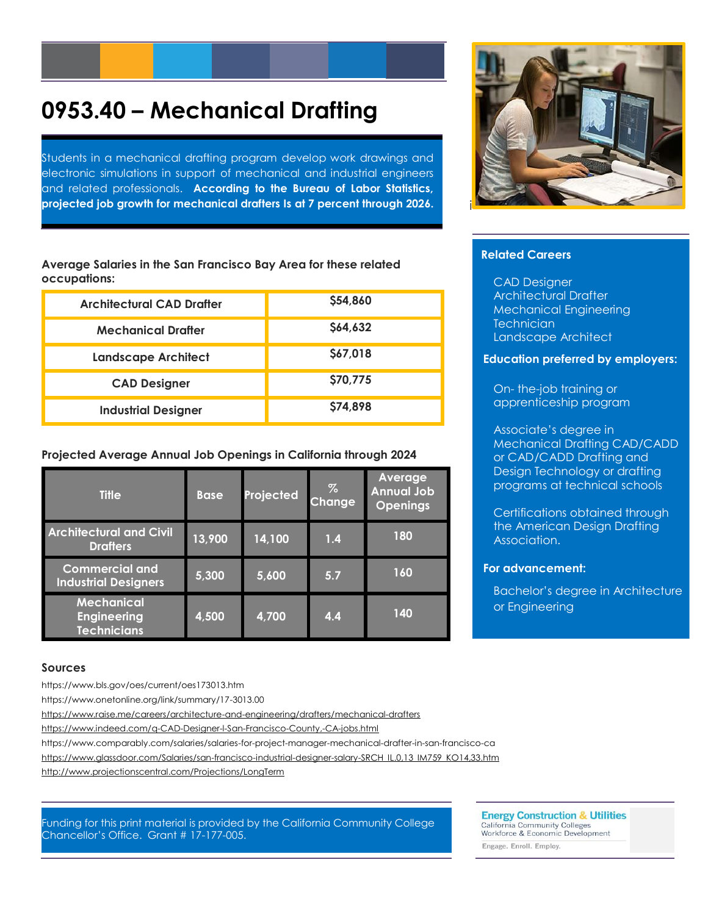# **0953.40 – Mechanical Drafting**

Students in a mechanical drafting program develop work drawings and electronic simulations in support of mechanical and industrial engineers and related professionals. **According to the Bureau of Labor Statistics, projected job growth for mechanical drafters Is at 7 percent through 2026.**

**Average Salaries in the San Francisco Bay Area for these related occupations:**

| Architectural CAD Drafter  | \$54,860 |
|----------------------------|----------|
| <b>Mechanical Drafter</b>  | \$64,632 |
| <b>Landscape Architect</b> | \$67,018 |
| <b>CAD Designer</b>        | \$70,775 |
| <b>Industrial Designer</b> | \$74,898 |

**Projected Average Annual Job Openings in California through 2024**

| <b>Title</b>                                                  | <b>Base</b> | Projected | $\%$<br>Change | Average<br><b>Annual Job</b><br><b>Openings</b> |
|---------------------------------------------------------------|-------------|-----------|----------------|-------------------------------------------------|
| <b>Architectural and Civil</b><br><b>Drafters</b>             | 13,900      | 14,100    | 1.4            | 180                                             |
| <b>Commercial and</b><br><b>Industrial Designers</b>          | 5,300       | 5,600     | 5.7            | 160                                             |
| <b>Mechanical</b><br><b>Engineering</b><br><b>Technicians</b> | 4,500       | 4,700     | 4.4            | 140                                             |

#### **Sources**

https://www.bls.gov/oes/current/oes173013.htm

https://www.onetonline.org/link/summary/17-3013.00

<https://www.raise.me/careers/architecture-and-engineering/drafters/mechanical-drafters>

https://www.indeed.com/q-CAD-Designer-l-San-Francisco-County,-CA-jobs.html

https://www.comparably.com/salaries/salaries-for-project-manager-mechanical-drafter-in-san-francisco-ca

https://www.glassdoor.com/Salaries/san-francisco-industrial-designer-salary-SRCH\_IL.0,13\_IM759\_KO14,33.htm

<http://www.projectionscentral.com/Projections/LongTerm>

#### Funding for this print material is provided by the California Community College Chancellor's Office. Grant # 17-177-005.

**Energy Construction & Utilities** 

California Community Colleges<br>Workforce & Economic Development

Engage. Enroll. Employ.



#### **Related Careers**

CAD Designer Architectural Drafter Mechanical Engineering **Technician** Landscape Architect

#### **Education preferred by employers:**

On- the-job training or apprenticeship program

Associate's degree in Mechanical Drafting CAD/CADD or CAD/CADD Drafting and Design Technology or drafting programs at technical schools

Certifications obtained through the American Design Drafting Association.

#### **For advancement:**

Bachelor's degree in Architecture or Engineering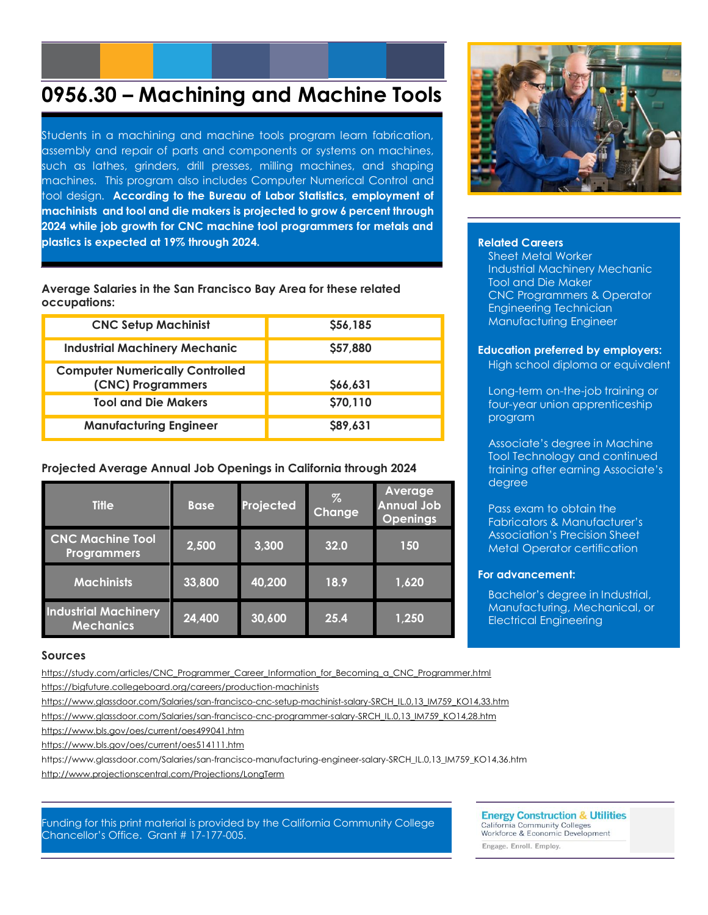### **0956.30 – Machining and Machine Tools**

Students in a machining and machine tools program learn fabrication, assembly and repair of parts and components or systems on machines, such as lathes, grinders, drill presses, milling machines, and shaping machines. This program also includes Computer Numerical Control and tool design. **According to the Bureau of Labor Statistics, employment of machinists and tool and die makers is projected to grow 6 percent through 2024 while job growth for CNC machine tool programmers for metals and plastics is expected at 19% through 2024.**

#### **Average Salaries in the San Francisco Bay Area for these related occupations:**

| <b>CNC Setup Machinist</b>                                  | \$56,185 |
|-------------------------------------------------------------|----------|
| <b>Industrial Machinery Mechanic</b>                        | \$57,880 |
| <b>Computer Numerically Controlled</b><br>(CNC) Programmers | S66,631  |
| <b>Tool and Die Makers</b>                                  | \$70,110 |
| <b>Manufacturing Engineer</b>                               | \$89,631 |

#### **Projected Average Annual Job Openings in California through 2024**

| <b>Title</b>                                    | <b>Base</b> | Projected | $\%$<br>Change | Average<br><b>Annual Job</b><br><b>Openings</b> |
|-------------------------------------------------|-------------|-----------|----------------|-------------------------------------------------|
| <b>CNC Machine Tool</b><br><b>Programmers</b>   | 2,500       | 3,300     | 32.0           | 150                                             |
| <b>Machinists</b>                               | 33,800      | 40,200    | 18.9           | 1,620                                           |
| <b>Industrial Machinery</b><br><b>Mechanics</b> | 24,400      | 30,600    | 25.4           | 1,250                                           |



#### **Related Careers**

Sheet Metal Worker Industrial Machinery Mechanic Tool and Die Maker CNC Programmers & Operator Engineering Technician Manufacturing Engineer

#### **Education preferred by employers:**

High school diploma or equivalent

Long-term on-the-job training or four-year union apprenticeship program

Associate's degree in Machine Tool Technology and continued training after earning Associate's degree

Pass exam to obtain the Fabricators & Manufacturer's Association's Precision Sheet Metal Operator certification

#### **For advancement:**

Bachelor's degree in Industrial, Manufacturing, Mechanical, or Electrical Engineering

#### **Sources**

[https://study.com/articles/CNC\\_Programmer\\_Career\\_Information\\_for\\_Becoming\\_a\\_CNC\\_Programmer.html](https://study.com/articles/CNC_Programmer_Career_Information_for_Becoming_a_CNC_Programmer.html)

<https://bigfuture.collegeboard.org/careers/production-machinists>

[https://www.glassdoor.com/Salaries/san-francisco-cnc-setup-machinist-salary-SRCH\\_IL.0,13\\_IM759\\_KO14,33.htm](https://www.glassdoor.com/Salaries/san-francisco-cnc-setup-machinist-salary-SRCH_IL.0,13_IM759_KO14,33.htm) [https://www.glassdoor.com/Salaries/san-francisco-cnc-programmer-salary-SRCH\\_IL.0,13\\_IM759\\_KO14,28.htm](https://www.glassdoor.com/Salaries/san-francisco-cnc-programmer-salary-SRCH_IL.0,13_IM759_KO14,28.htm)

<https://www.bls.gov/oes/current/oes499041.htm>

<https://www.bls.gov/oes/current/oes514111.htm>

https://www.glassdoor.com/Salaries/san-francisco-manufacturing-engineer-salary-SRCH\_IL.0,13\_IM759\_KO14,36.htm <http://www.projectionscentral.com/Projections/LongTerm>

#### Funding for this print material is provided by the California Community College Chancellor's Office. Grant # 17-177-005.

### **Energy Construction & Utilities**

California Community Colleges<br>Workforce & Economic Development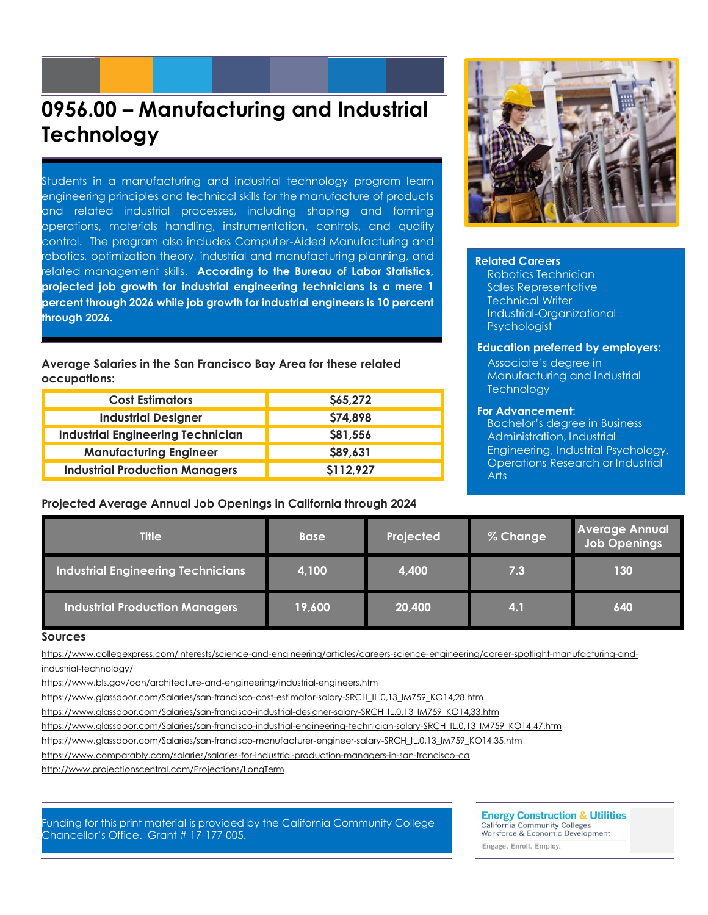### **0956.00 – Manufacturing and Industrial Technology**

Students in a manufacturing and industrial technology program learn engineering principles and technical skills for the manufacture of products and related industrial processes, including shaping and forming operations, materials handling, instrumentation, controls, and quality control. The program also includes Computer-Aided Manufacturing and robotics, optimization theory, industrial and manufacturing planning, and related management skills. **According to the Bureau of Labor Statistics, projected job growth for industrial engineering technicians is a mere 1 percent through 2026 while job growth for industrial engineers is 10 percent through 2026.**

**Average Salaries in the San Francisco Bay Area for these related occupations:**

| <b>Cost Estimators</b>                   | \$65,272  |
|------------------------------------------|-----------|
| <b>Industrial Designer</b>               | \$74,898  |
| <b>Industrial Engineering Technician</b> | \$81,556  |
| <b>Manufacturing Engineer</b>            | \$89,631  |
| <b>Industrial Production Managers</b>    | \$112,927 |

#### **Projected Average Annual Job Openings in California through 2024**



#### **Related Careers**

Robotics Technician Sales Representative Technical Writer Industrial-Organizational Psychologist

#### **Education preferred by employers:**

Associate's degree in Manufacturing and Industrial **Technology** 

#### **For Advancement**:

Bachelor's degree in Business Administration, Industrial Engineering, Industrial Psychology, Operations Research or Industrial Arts

| <b>Title</b>                              | <b>Base</b> | Projected | % Change | <b>Average Annual</b><br><b>Job Openings</b> |
|-------------------------------------------|-------------|-----------|----------|----------------------------------------------|
| <b>Industrial Engineering Technicians</b> | 4,100       | 4,400     | 7.3      | 130                                          |
| <b>Industrial Production Managers</b>     | 19,600      | 20,400    | 4.1      | 640                                          |

#### **Sources**

[https://www.collegexpress.com/interests/science-and-engineering/articles/careers-science-engineering/career-spotlight-manufacturing-and](https://www.collegexpress.com/interests/science-and-engineering/articles/careers-science-engineering/career-spotlight-manufacturing-and-industrial-technology/)[industrial-technology/](https://www.collegexpress.com/interests/science-and-engineering/articles/careers-science-engineering/career-spotlight-manufacturing-and-industrial-technology/)

<https://www.bls.gov/ooh/architecture-and-engineering/industrial-engineers.htm>

[https://www.glassdoor.com/Salaries/san-francisco-cost-estimator-salary-SRCH\\_IL.0,13\\_IM759\\_KO14,28.htm](https://www.glassdoor.com/Salaries/san-francisco-cost-estimator-salary-SRCH_IL.0,13_IM759_KO14,28.htm)

https://www.alassdoor.com/Salaries/san-francisco-industrial-designer-salary-SRCH\_IL.0,13\_IM759\_KO14,33.htm

[https://www.glassdoor.com/Salaries/san-francisco-industrial-engineering-technician-salary-SRCH\\_IL.0,13\\_IM759\\_KO14,47.htm](https://www.glassdoor.com/Salaries/san-francisco-industrial-engineering-technician-salary-SRCH_IL.0,13_IM759_KO14,47.htm)

[https://www.glassdoor.com/Salaries/san-francisco-manufacturer-engineer-salary-SRCH\\_IL.0,13\\_IM759\\_KO14,35.htm](https://www.glassdoor.com/Salaries/san-francisco-manufacturer-engineer-salary-SRCH_IL.0,13_IM759_KO14,35.htm)

https://www.comparably.com/salaries/salaries-for-industrial-production-managers-in-san-francisco-ca

<http://www.projectionscentral.com/Projections/LongTerm>

Funding for this print material is provided by the California Community College Chancellor's Office. Grant # 17-177-005.

**Energy Construction & Utilities** California Community Colleges<br>Workforce & Economic Development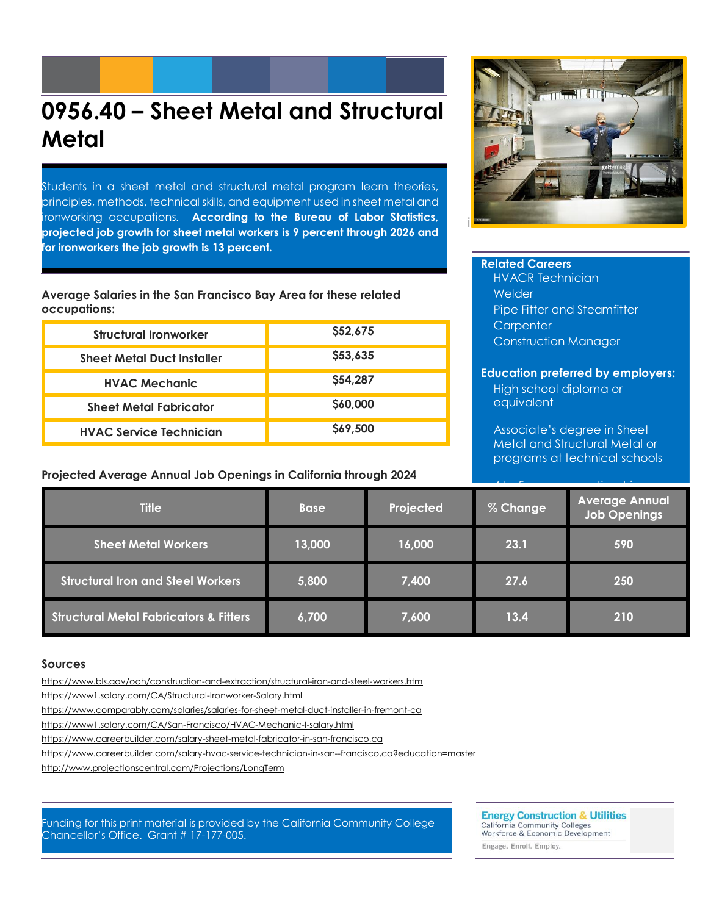# **0956.40 – Sheet Metal and Structural Metal**

Students in a sheet metal and structural metal program learn theories, principles, methods, technical skills, and equipment used in sheet metal and ironworking occupations. **According to the Bureau of Labor Statistics, projected job growth for sheet metal workers is 9 percent through 2026 and for ironworkers the job growth is 13 percent.**

**Average Salaries in the San Francisco Bay Area for these related occupations:**

| <b>Structural Ironworker</b>      | \$52,675 |
|-----------------------------------|----------|
| <b>Sheet Metal Duct Installer</b> | \$53,635 |
| <b>HVAC Mechanic</b>              | \$54,287 |
| <b>Sheet Metal Fabricator</b>     | \$60,000 |
| <b>HVAC Service Technician</b>    | \$69,500 |

**Projected Average Annual Job Openings in California through 2024**



#### **Related Careers**

HVACR Technician Welder Pipe Fitter and Steamfitter **Carpenter** Construction Manager

#### **Education preferred by employers:**

High school diploma or equivalent

Associate's degree in Sheet Metal and Structural Metal or programs at technical schools

| <b>Title</b>                                      | <b>Base</b> | Projected | % Change | <b>Average Annual</b><br><b>Job Openings</b> |
|---------------------------------------------------|-------------|-----------|----------|----------------------------------------------|
| <b>Sheet Metal Workers</b>                        | 13,000      | 16,000    | 23.1     | 590                                          |
| <b>Structural Iron and Steel Workers</b>          | 5,800       | 7,400     | 27.6     | 250                                          |
| <b>Structural Metal Fabricators &amp; Fitters</b> | 6,700       | 7,600     | 13.4     | 210                                          |

#### **Sources**

https://www.bls.gov/ooh/construction-and-extraction/structural-iron-and-steel-workers.htm

<https://www1.salary.com/CA/Structural-Ironworker-Salary.html>

<https://www.comparably.com/salaries/salaries-for-sheet-metal-duct-installer-in-fremont-ca>

https://www1.salary.com/CA/San-Francisco/HVAC-Mechanic-I-salary.html

https://www.careerbuilder.com/salary-sheet-metal-fabricator-in-san-francisco,ca

https://www.careerbuilder.com/salary-hvac-service-technician-in-san--francisco,ca?education=master

<http://www.projectionscentral.com/Projections/LongTerm>

Funding for this print material is provided by the California Community College Chancellor's Office. Grant # 17-177-005.

**Energy Construction & Utilities** 

California Community Colleges<br>Workforce & Economic Development Engage. Enroll. Employ.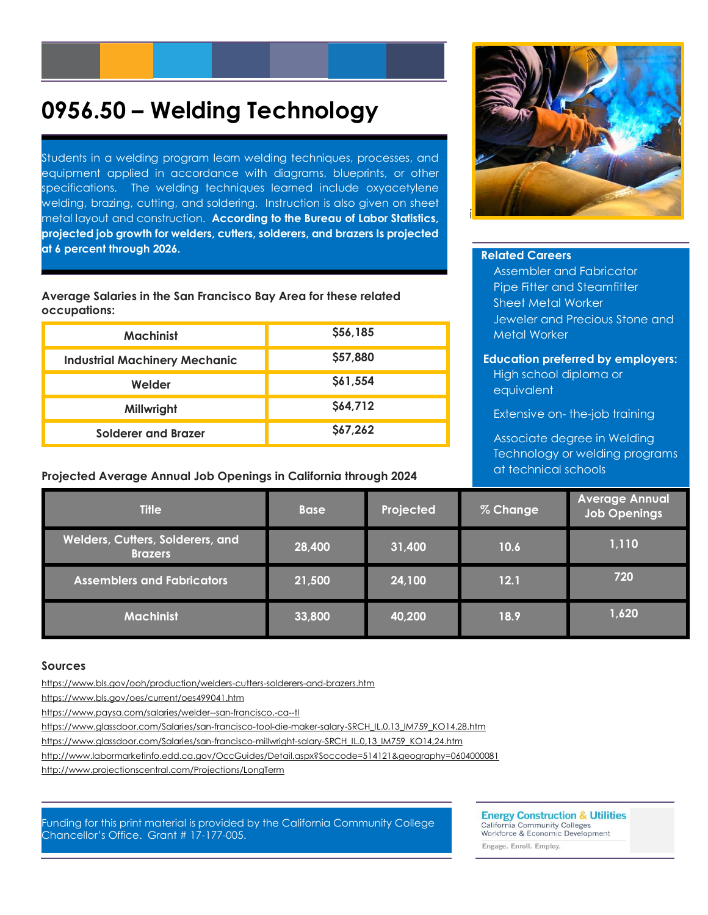# **0956.50 – Welding Technology**

Students in a welding program learn welding techniques, processes, and equipment applied in accordance with diagrams, blueprints, or other specifications. The welding techniques learned include oxyacetylene welding, brazing, cutting, and soldering. Instruction is also given on sheet metal layout and construction. **According to the Bureau of Labor Statistics, projected job growth for welders, cutters, solderers, and brazers Is projected at 6 percent through 2026.**

**Average Salaries in the San Francisco Bay Area for these related occupations:**

| <b>Machinist</b>                     | \$56,185 |
|--------------------------------------|----------|
| <b>Industrial Machinery Mechanic</b> | \$57,880 |
| Welder                               | \$61,554 |
| Millwright                           | \$64,712 |
| Solderer and Brazer                  | \$67,262 |

**Projected Average Annual Job Openings in California through 2024**



#### **Related Careers**

Assembler and Fabricator Pipe Fitter and Steamfitter Sheet Metal Worker Jeweler and Precious Stone and Metal Worker

#### **Education preferred by employers:**

High school diploma or equivalent

Extensive on- the-job training

Associate degree in Welding Technology or welding programs at technical schools

| <b>Title</b>                                              | <b>Base</b> | Projected | % Change | <b>Average Annual</b><br><b>Job Openings</b> |
|-----------------------------------------------------------|-------------|-----------|----------|----------------------------------------------|
| <b>Welders, Cutters, Solderers, and</b><br><b>Brazers</b> | 28,400      | 31,400    | 10.6     | 1,110                                        |
| <b>Assemblers and Fabricators</b>                         | 21,500      | 24,100    | 12.1     | 720                                          |
| <b>Machinist</b>                                          | 33,800      | 40,200    | 18.9     | 1,620                                        |

#### **Sources**

<https://www.bls.gov/ooh/production/welders-cutters-solderers-and-brazers.htm>

<https://www.bls.gov/oes/current/oes499041.htm>

<https://www.paysa.com/salaries/welder--san-francisco,-ca--tl>

[https://www.glassdoor.com/Salaries/san-francisco-tool-die-maker-salary-SRCH\\_IL.0,13\\_IM759\\_KO14,28.htm](https://www.glassdoor.com/Salaries/san-francisco-tool-die-maker-salary-SRCH_IL.0,13_IM759_KO14,28.htm)

[https://www.glassdoor.com/Salaries/san-francisco-millwright-salary-SRCH\\_IL.0,13\\_IM759\\_KO14,24.htm](https://www.glassdoor.com/Salaries/san-francisco-millwright-salary-SRCH_IL.0,13_IM759_KO14,24.htm)

http://www.labormarketinfo.edd.ca.gov/OccGuides/Detail.aspx?Soccode=514121&geography=0604000081

<http://www.projectionscentral.com/Projections/LongTerm>

Funding for this print material is provided by the California Community College Chancellor's Office. Grant # 17-177-005.

**Energy Construction & Utilities** 

California Community Colleges<br>Workforce & Economic Development Engage. Enroll. Employ.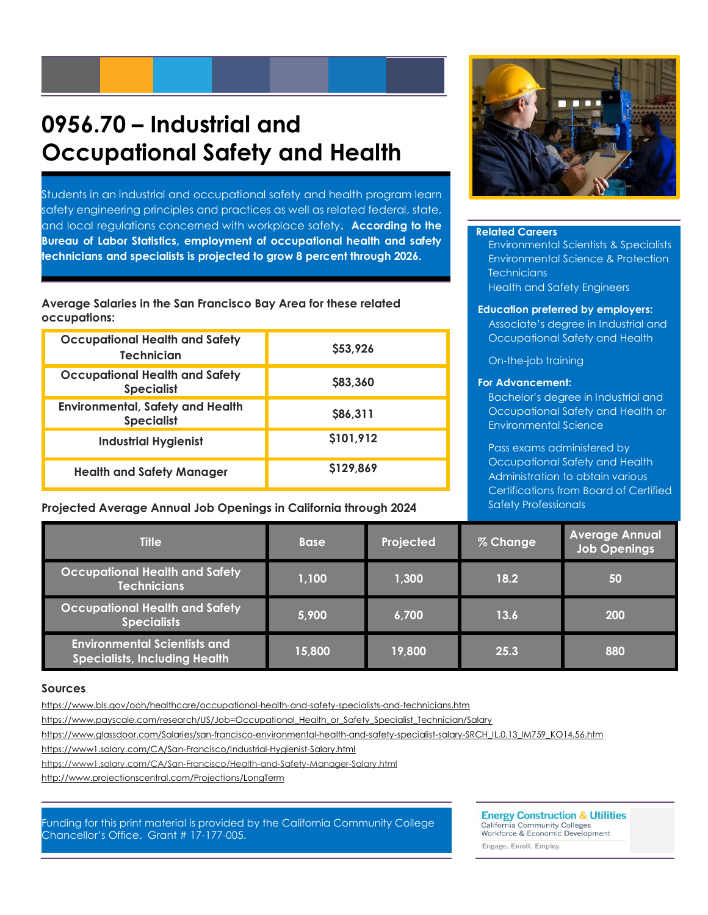# **0956.70 – Industrial and Occupational Safety and Health**

Students in an industrial and occupational safety and health program learn safety engineering principles and practices as well as related federal, state, and local regulations concerned with workplace safety**. According to the Bureau of Labor Statistics, employment of occupational health and safety technicians and specialists is projected to grow 8 percent through 2026.**

**Average Salaries in the San Francisco Bay Area for these related occupations:**

| <b>Occupational Health and Safety</b><br><b>Technician</b>   | \$53,926  |
|--------------------------------------------------------------|-----------|
| <b>Occupational Health and Safety</b><br><b>Specialist</b>   | \$83,360  |
| <b>Environmental, Safety and Health</b><br><b>Specialist</b> | S86,311   |
| <b>Industrial Hygienist</b>                                  | \$101,912 |
| <b>Health and Safety Manager</b>                             | \$129,869 |

#### **Projected Average Annual Job Openings in California through 2024**



#### **Related Careers**

Environmental Scientists & Specialists Environmental Science & Protection **Technicians** Health and Safety Engineers

#### **Education preferred by employers:**

Associate's degree in Industrial and Occupational Safety and Health

On-the-job training

#### **For Advancement:**

Bachelor's degree in Industrial and Occupational Safety and Health or Environmental Science

Pass exams administered by Occupational Safety and Health Administration to obtain various Certifications from Board of Certified Safety Professionals

| <b>Title</b>                                                                | <b>Base</b> | Projected | % Change | <b>Average Annual</b><br><b>Job Openings</b> |
|-----------------------------------------------------------------------------|-------------|-----------|----------|----------------------------------------------|
| <b>Occupational Health and Safety</b><br><b>Technicians</b>                 | 1,100       | 1,300     | 18.2     | 50                                           |
| <b>Occupational Health and Safety</b><br><b>Specialists</b>                 | 5,900       | 6,700     | 13.6     | 200                                          |
| <b>Environmental Scientists and</b><br><b>Specialists, Including Health</b> | 15,800      | 19,800    | 25.3     | 880                                          |

#### **Sources**

https://www.bls.gov/ooh/healthcare/occupational-health-and-safety-specialists-and-technicians.htm

[https://www.payscale.com/research/US/Job=Occupational\\_Health\\_or\\_Safety\\_Specialist\\_Technician/Salary](https://www.payscale.com/research/US/Job=Occupational_Health_or_Safety_Specialist_Technician/Salary)

https://www.glassdoor.com/Salaries/san-francisco-environmental-health-and-safety-specialist-salary-SRCH\_IL.0,13\_IM759\_KO14,56.htm

<https://www1.salary.com/CA/San-Francisco/Industrial-Hygienist-Salary.html>

https://www1.salary.com/CA/San-Francisco/Health-and-Safety-Manager-Salary.html

<http://www.projectionscentral.com/Projections/LongTerm>

Funding for this print material is provided by the California Community College Chancellor's Office. Grant # 17-177-005.

**Energy Construction & Utilities** California Community Colleges<br>Workforce & Economic Development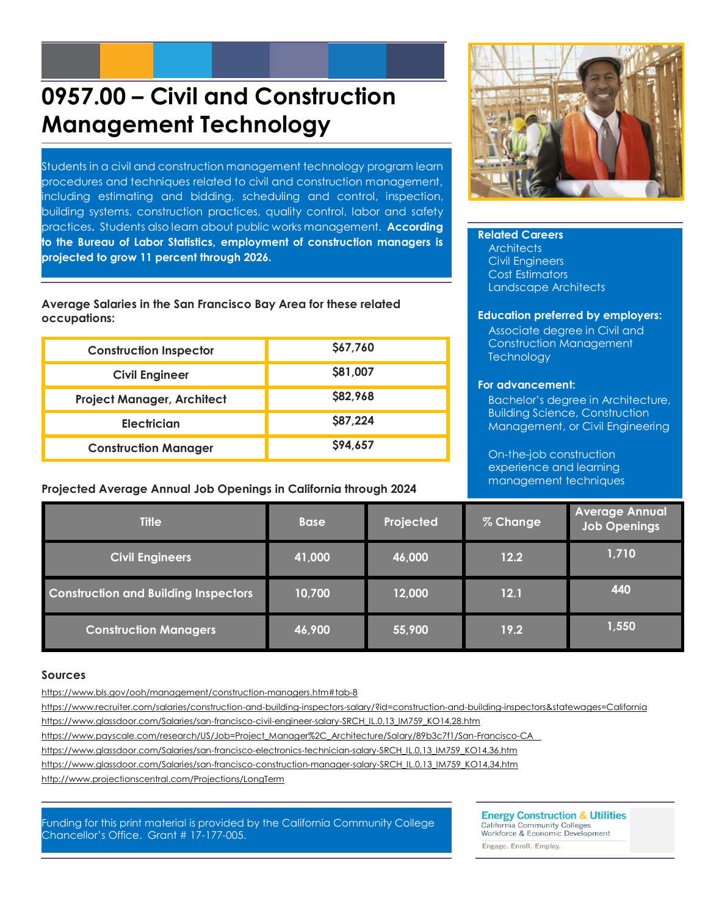# **0957.00 – Civil and Construction Management Technology**

Students in a civil and construction management technology program learn procedures and techniques related to civil and construction management, including estimating and bidding, scheduling and control, inspection, building systems, construction practices, quality control, labor and safety practices**.** Students also learn about public works management. **According to the Bureau of Labor Statistics, employment of construction managers is projected to grow 11 percent through 2026.**

**Average Salaries in the San Francisco Bay Area for these related occupations:**

| <b>Construction Inspector</b>     | \$67,760 |
|-----------------------------------|----------|
| <b>Civil Engineer</b>             | \$81,007 |
| <b>Project Manager, Architect</b> | \$82,968 |
| <b>Electrician</b>                | \$87,224 |
| <b>Construction Manager</b>       | \$94,657 |

#### **Projected Average Annual Job Openings in California through 2024**



#### **Related Careers**

**Architects** Civil Engineers Cost Estimators Landscape Architects

#### **Education preferred by employers:**

Associate degree in Civil and Construction Management **Technology** 

#### **For advancement:**

Bachelor's degree in Architecture, Building Science, Construction Management, or Civil Engineering

On-the-job construction experience and learning management techniques

| <b>Title</b>                                | <b>Base</b> | Projected | % Change | <b>Average Annual</b><br><b>Job Openings</b> |
|---------------------------------------------|-------------|-----------|----------|----------------------------------------------|
| <b>Civil Engineers</b>                      | 41,000      | 46,000    | 12.2     | 1,710                                        |
| <b>Construction and Building Inspectors</b> | 10,700      | 12,000    | 12.1     | 440                                          |
| <b>Construction Managers</b>                | 46,900      | 55,900    | 19.2     | 1,550                                        |

#### **Sources**

<https://www.bls.gov/ooh/management/construction-managers.htm#tab-8>

https://www.recruiter.com/salaries/construction-and-building-inspectors-salary/?id=construction-and-building-inspectors&statewages=California

https://www.glassdoor.com/Salaries/san-francisco-civil-engineer-salary-SRCH\_IL.0,13\_IM759\_KO14,28.htm

[https://www.payscale.com/research/US/Job=Project\\_Manager%2C\\_Architecture/Salary/89b3c7f1/San-Francisco-CA](https://www.payscale.com/research/US/Job=Project_Manager%2C_Architecture/Salary/89b3c7f1/San-Francisco-CA)

[https://www.glassdoor.com/Salaries/san-francisco-electronics-technician-salary-SRCH\\_IL.0,13\\_IM759\\_KO14,36.htm](https://www.glassdoor.com/Salaries/san-francisco-electronics-technician-salary-SRCH_IL.0,13_IM759_KO14,36.htm)

https://www.glassdoor.com/Salaries/san-francisco-construction-manager-salary-SRCH\_IL.0,13\_IM759\_KO14,34.htm

<http://www.projectionscentral.com/Projections/LongTerm>

Funding for this print material is provided by the California Community College Chancellor's Office. Grant # 17-177-005.

**Energy Construction & Utilities** California Community Colleges<br>Workforce & Economic Development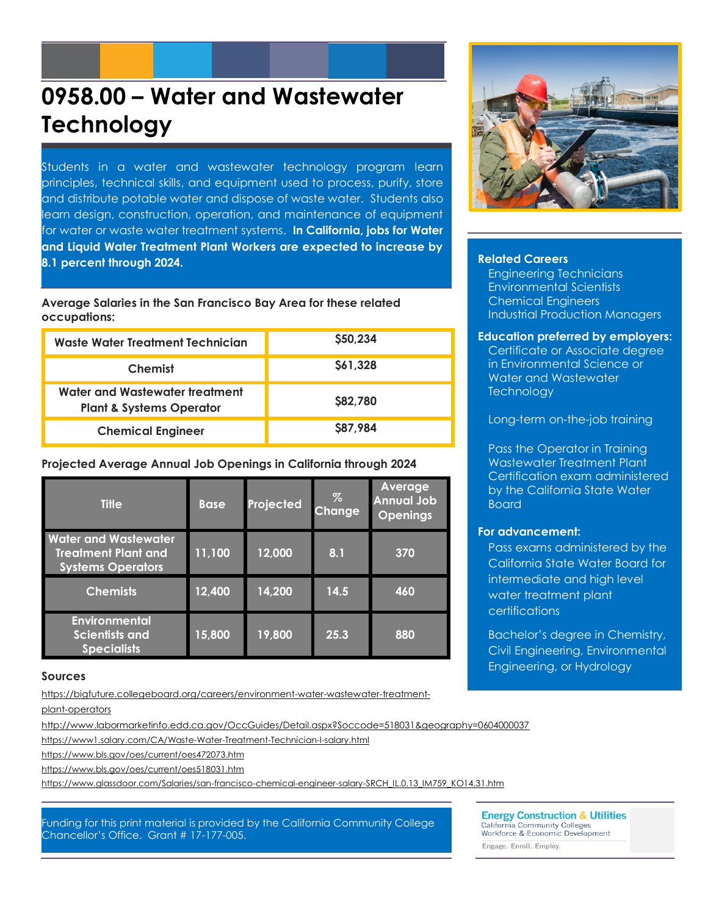# **0958.00 – Water and Wastewater Technology**

Students in a water and wastewater technology program learn principles, technical skills, and equipment used to process, purify, store and distribute potable water and dispose of waste water. Students also learn design, construction, operation, and maintenance of equipment for water or waste water treatment systems. **In California, jobs for Water and Liquid Water Treatment Plant Workers are expected to increase by 8.1 percent through 2024.**

**Average Salaries in the San Francisco Bay Area for these related occupations:**

| Waste Water Treatment Technician                                      | \$50,234        |
|-----------------------------------------------------------------------|-----------------|
| <b>Chemist</b>                                                        | \$61,328        |
| Water and Wastewater treatment<br><b>Plant &amp; Systems Operator</b> | <b>\$82,780</b> |
| <b>Chemical Engineer</b>                                              | \$87,984        |

#### **Projected Average Annual Job Openings in California through 2024**

| <b>Title</b>                                                                          | <b>Base</b> | Projected | Z<br><b>Change</b> | <b>Average</b><br><b>Annual Job</b><br><b>Openings</b> |
|---------------------------------------------------------------------------------------|-------------|-----------|--------------------|--------------------------------------------------------|
| <b>Water and Wastewater</b><br><b>Treatment Plant and</b><br><b>Systems Operators</b> | 11,100      | 12,000    | 8.1                | 370                                                    |
| <b>Chemists</b>                                                                       | 12,400      | 14,200    | 14.5               | 460                                                    |
| <b>Environmental</b><br><b>Scientists and</b><br><b>Specialists</b>                   | 15,800      | 19,800    | 25.3               | 880                                                    |

#### **Sources**

[https://bigfuture.collegeboard.org/careers/environment-water-wastewater-treatment-](https://bigfuture.collegeboard.org/careers/environment-water-wastewater-treatment-plant-operators)

#### [plant-operators](https://bigfuture.collegeboard.org/careers/environment-water-wastewater-treatment-plant-operators)

http://www.labormarketinfo.edd.ca.gov/OccGuides/Detail.aspx?Soccode=518031&geography=0604000037

https://www1.salary.com/CA/Waste-Water-Treatment-Technician-I-salary.html

<https://www.bls.gov/oes/current/oes472073.htm>

https://www.bls.gov/oes/current/oes518031.htm

https://www.glassdoor.com/Salaries/san-francisco-chemical-engineer-salary-SRCH\_IL.0,13\_IM759\_KO14,31.htm

#### **Related Careers**

Engineering Technicians Environmental Scientists Chemical Engineers Industrial Production Managers

#### **Education preferred by employers:**

Certificate or Associate degree in Environmental Science or Water and Wastewater **Technology** 

Long-term on-the-job training

Pass the Operator in Training Wastewater Treatment Plant Certification exam administered by the California State Water Board

#### **For advancement:**

Pass exams administered by the California State Water Board for intermediate and high level water treatment plant certifications

Bachelor's degree in Chemistry, Civil Engineering, Environmental Engineering, or Hydrology

Funding for this print material is provided by the California Community College Chancellor's Office. Grant # 17-177-005.

**Energy Construction & Utilities** California Community Colleges<br>Workforce & Economic Development Engage. Enroll. Employ.